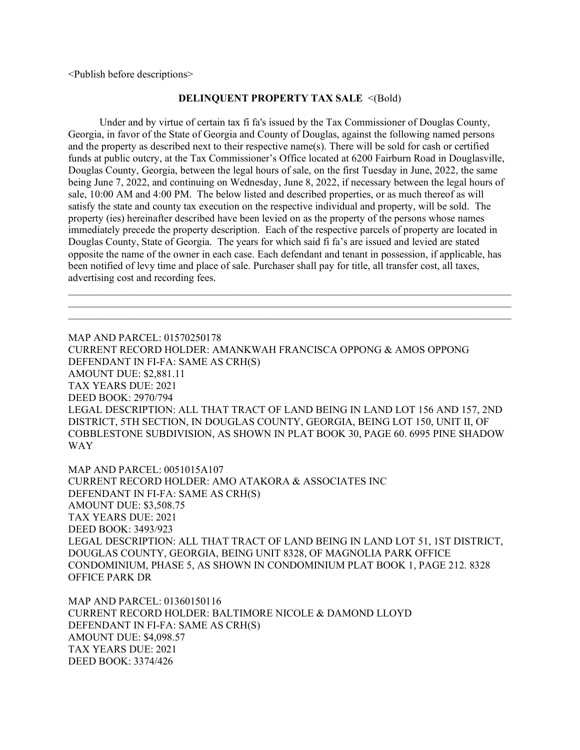<Publish before descriptions>

## **DELINQUENT PROPERTY TAX SALE** <(Bold)

 Under and by virtue of certain tax fi fa's issued by the Tax Commissioner of Douglas County, Georgia, in favor of the State of Georgia and County of Douglas, against the following named persons and the property as described next to their respective name(s). There will be sold for cash or certified funds at public outcry, at the Tax Commissioner's Office located at 6200 Fairburn Road in Douglasville, Douglas County, Georgia, between the legal hours of sale, on the first Tuesday in June, 2022, the same being June 7, 2022, and continuing on Wednesday, June 8, 2022, if necessary between the legal hours of sale, 10:00 AM and 4:00 PM. The below listed and described properties, or as much thereof as will satisfy the state and county tax execution on the respective individual and property, will be sold. The property (ies) hereinafter described have been levied on as the property of the persons whose names immediately precede the property description. Each of the respective parcels of property are located in Douglas County, State of Georgia. The years for which said fi fa's are issued and levied are stated opposite the name of the owner in each case. Each defendant and tenant in possession, if applicable, has been notified of levy time and place of sale. Purchaser shall pay for title, all transfer cost, all taxes, advertising cost and recording fees.

 $\mathcal{L}_\text{max}$  and  $\mathcal{L}_\text{max}$  and  $\mathcal{L}_\text{max}$  and  $\mathcal{L}_\text{max}$  and  $\mathcal{L}_\text{max}$  and  $\mathcal{L}_\text{max}$  $\mathcal{L}_\mathcal{L} = \{ \mathcal{L}_\mathcal{L} = \{ \mathcal{L}_\mathcal{L} = \{ \mathcal{L}_\mathcal{L} = \{ \mathcal{L}_\mathcal{L} = \{ \mathcal{L}_\mathcal{L} = \{ \mathcal{L}_\mathcal{L} = \{ \mathcal{L}_\mathcal{L} = \{ \mathcal{L}_\mathcal{L} = \{ \mathcal{L}_\mathcal{L} = \{ \mathcal{L}_\mathcal{L} = \{ \mathcal{L}_\mathcal{L} = \{ \mathcal{L}_\mathcal{L} = \{ \mathcal{L}_\mathcal{L} = \{ \mathcal{L}_\mathcal{$  $\mathcal{L}_\mathcal{L} = \{ \mathcal{L}_\mathcal{L} = \{ \mathcal{L}_\mathcal{L} = \{ \mathcal{L}_\mathcal{L} = \{ \mathcal{L}_\mathcal{L} = \{ \mathcal{L}_\mathcal{L} = \{ \mathcal{L}_\mathcal{L} = \{ \mathcal{L}_\mathcal{L} = \{ \mathcal{L}_\mathcal{L} = \{ \mathcal{L}_\mathcal{L} = \{ \mathcal{L}_\mathcal{L} = \{ \mathcal{L}_\mathcal{L} = \{ \mathcal{L}_\mathcal{L} = \{ \mathcal{L}_\mathcal{L} = \{ \mathcal{L}_\mathcal{$ 

MAP AND PARCEL: 01570250178 CURRENT RECORD HOLDER: AMANKWAH FRANCISCA OPPONG & AMOS OPPONG DEFENDANT IN FI-FA: SAME AS CRH(S) AMOUNT DUE: \$2,881.11 TAX YEARS DUE: 2021 DEED BOOK: 2970/794 LEGAL DESCRIPTION: ALL THAT TRACT OF LAND BEING IN LAND LOT 156 AND 157, 2ND DISTRICT, 5TH SECTION, IN DOUGLAS COUNTY, GEORGIA, BEING LOT 150, UNIT II, OF COBBLESTONE SUBDIVISION, AS SHOWN IN PLAT BOOK 30, PAGE 60. 6995 PINE SHADOW WAY

MAP AND PARCEL: 0051015A107 CURRENT RECORD HOLDER: AMO ATAKORA & ASSOCIATES INC DEFENDANT IN FI-FA: SAME AS CRH(S) AMOUNT DUE: \$3,508.75 TAX YEARS DUE: 2021 DEED BOOK: 3493/923 LEGAL DESCRIPTION: ALL THAT TRACT OF LAND BEING IN LAND LOT 51, 1ST DISTRICT, DOUGLAS COUNTY, GEORGIA, BEING UNIT 8328, OF MAGNOLIA PARK OFFICE CONDOMINIUM, PHASE 5, AS SHOWN IN CONDOMINIUM PLAT BOOK 1, PAGE 212. 8328 OFFICE PARK DR

MAP AND PARCEL: 01360150116 CURRENT RECORD HOLDER: BALTIMORE NICOLE & DAMOND LLOYD DEFENDANT IN FI-FA: SAME AS CRH(S) AMOUNT DUE: \$4,098.57 TAX YEARS DUE: 2021 DEED BOOK: 3374/426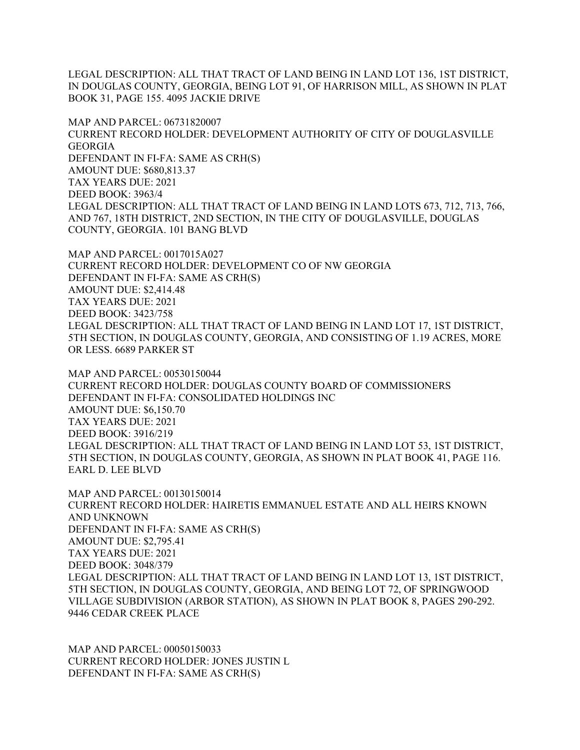LEGAL DESCRIPTION: ALL THAT TRACT OF LAND BEING IN LAND LOT 136, 1ST DISTRICT, IN DOUGLAS COUNTY, GEORGIA, BEING LOT 91, OF HARRISON MILL, AS SHOWN IN PLAT BOOK 31, PAGE 155. 4095 JACKIE DRIVE

MAP AND PARCEL: 06731820007 CURRENT RECORD HOLDER: DEVELOPMENT AUTHORITY OF CITY OF DOUGLASVILLE GEORGIA DEFENDANT IN FI-FA: SAME AS CRH(S) AMOUNT DUE: \$680,813.37 TAX YEARS DUE: 2021 DEED BOOK: 3963/4 LEGAL DESCRIPTION: ALL THAT TRACT OF LAND BEING IN LAND LOTS 673, 712, 713, 766, AND 767, 18TH DISTRICT, 2ND SECTION, IN THE CITY OF DOUGLASVILLE, DOUGLAS COUNTY, GEORGIA. 101 BANG BLVD

MAP AND PARCEL: 0017015A027 CURRENT RECORD HOLDER: DEVELOPMENT CO OF NW GEORGIA DEFENDANT IN FI-FA: SAME AS CRH(S) AMOUNT DUE: \$2,414.48 TAX YEARS DUE: 2021 DEED BOOK: 3423/758 LEGAL DESCRIPTION: ALL THAT TRACT OF LAND BEING IN LAND LOT 17, 1ST DISTRICT, 5TH SECTION, IN DOUGLAS COUNTY, GEORGIA, AND CONSISTING OF 1.19 ACRES, MORE OR LESS. 6689 PARKER ST

MAP AND PARCEL: 00530150044 CURRENT RECORD HOLDER: DOUGLAS COUNTY BOARD OF COMMISSIONERS DEFENDANT IN FI-FA: CONSOLIDATED HOLDINGS INC AMOUNT DUE: \$6,150.70 TAX YEARS DUE: 2021 DEED BOOK: 3916/219 LEGAL DESCRIPTION: ALL THAT TRACT OF LAND BEING IN LAND LOT 53, 1ST DISTRICT, 5TH SECTION, IN DOUGLAS COUNTY, GEORGIA, AS SHOWN IN PLAT BOOK 41, PAGE 116. EARL D. LEE BLVD

MAP AND PARCEL: 00130150014 CURRENT RECORD HOLDER: HAIRETIS EMMANUEL ESTATE AND ALL HEIRS KNOWN AND UNKNOWN DEFENDANT IN FI-FA: SAME AS CRH(S) AMOUNT DUE: \$2,795.41 TAX YEARS DUE: 2021 DEED BOOK: 3048/379 LEGAL DESCRIPTION: ALL THAT TRACT OF LAND BEING IN LAND LOT 13, 1ST DISTRICT, 5TH SECTION, IN DOUGLAS COUNTY, GEORGIA, AND BEING LOT 72, OF SPRINGWOOD VILLAGE SUBDIVISION (ARBOR STATION), AS SHOWN IN PLAT BOOK 8, PAGES 290-292. 9446 CEDAR CREEK PLACE

MAP AND PARCEL: 00050150033 CURRENT RECORD HOLDER: JONES JUSTIN L DEFENDANT IN FI-FA: SAME AS CRH(S)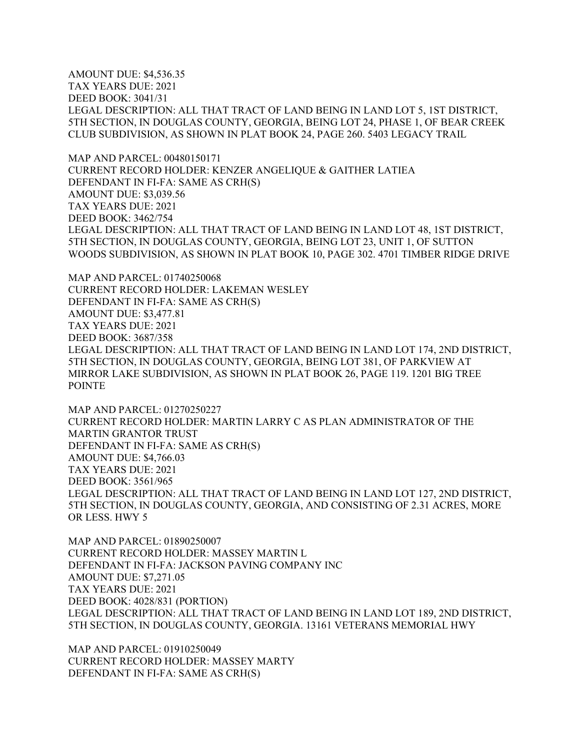AMOUNT DUE: \$4,536.35 TAX YEARS DUE: 2021 DEED BOOK: 3041/31 LEGAL DESCRIPTION: ALL THAT TRACT OF LAND BEING IN LAND LOT 5, 1ST DISTRICT, 5TH SECTION, IN DOUGLAS COUNTY, GEORGIA, BEING LOT 24, PHASE 1, OF BEAR CREEK CLUB SUBDIVISION, AS SHOWN IN PLAT BOOK 24, PAGE 260. 5403 LEGACY TRAIL

MAP AND PARCEL: 00480150171 CURRENT RECORD HOLDER: KENZER ANGELIQUE & GAITHER LATIEA DEFENDANT IN FI-FA: SAME AS CRH(S) AMOUNT DUE: \$3,039.56 TAX YEARS DUE: 2021 DEED BOOK: 3462/754 LEGAL DESCRIPTION: ALL THAT TRACT OF LAND BEING IN LAND LOT 48, 1ST DISTRICT, 5TH SECTION, IN DOUGLAS COUNTY, GEORGIA, BEING LOT 23, UNIT 1, OF SUTTON WOODS SUBDIVISION, AS SHOWN IN PLAT BOOK 10, PAGE 302. 4701 TIMBER RIDGE DRIVE

MAP AND PARCEL: 01740250068 CURRENT RECORD HOLDER: LAKEMAN WESLEY DEFENDANT IN FI-FA: SAME AS CRH(S) AMOUNT DUE: \$3,477.81 TAX YEARS DUE: 2021 DEED BOOK: 3687/358 LEGAL DESCRIPTION: ALL THAT TRACT OF LAND BEING IN LAND LOT 174, 2ND DISTRICT, 5TH SECTION, IN DOUGLAS COUNTY, GEORGIA, BEING LOT 381, OF PARKVIEW AT MIRROR LAKE SUBDIVISION, AS SHOWN IN PLAT BOOK 26, PAGE 119. 1201 BIG TREE POINTE

MAP AND PARCEL: 01270250227 CURRENT RECORD HOLDER: MARTIN LARRY C AS PLAN ADMINISTRATOR OF THE MARTIN GRANTOR TRUST DEFENDANT IN FI-FA: SAME AS CRH(S) AMOUNT DUE: \$4,766.03 TAX YEARS DUE: 2021 DEED BOOK: 3561/965 LEGAL DESCRIPTION: ALL THAT TRACT OF LAND BEING IN LAND LOT 127, 2ND DISTRICT, 5TH SECTION, IN DOUGLAS COUNTY, GEORGIA, AND CONSISTING OF 2.31 ACRES, MORE OR LESS. HWY 5

MAP AND PARCEL: 01890250007 CURRENT RECORD HOLDER: MASSEY MARTIN L DEFENDANT IN FI-FA: JACKSON PAVING COMPANY INC AMOUNT DUE: \$7,271.05 TAX YEARS DUE: 2021 DEED BOOK: 4028/831 (PORTION) LEGAL DESCRIPTION: ALL THAT TRACT OF LAND BEING IN LAND LOT 189, 2ND DISTRICT, 5TH SECTION, IN DOUGLAS COUNTY, GEORGIA. 13161 VETERANS MEMORIAL HWY

MAP AND PARCEL: 01910250049 CURRENT RECORD HOLDER: MASSEY MARTY DEFENDANT IN FI-FA: SAME AS CRH(S)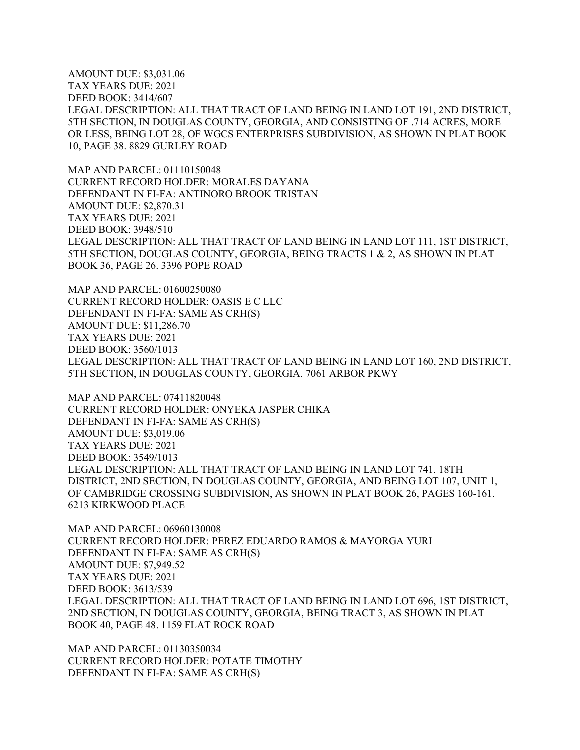AMOUNT DUE: \$3,031.06 TAX YEARS DUE: 2021 DEED BOOK: 3414/607 LEGAL DESCRIPTION: ALL THAT TRACT OF LAND BEING IN LAND LOT 191, 2ND DISTRICT, 5TH SECTION, IN DOUGLAS COUNTY, GEORGIA, AND CONSISTING OF .714 ACRES, MORE OR LESS, BEING LOT 28, OF WGCS ENTERPRISES SUBDIVISION, AS SHOWN IN PLAT BOOK 10, PAGE 38. 8829 GURLEY ROAD

MAP AND PARCEL: 01110150048 CURRENT RECORD HOLDER: MORALES DAYANA DEFENDANT IN FI-FA: ANTINORO BROOK TRISTAN AMOUNT DUE: \$2,870.31 TAX YEARS DUE: 2021 DEED BOOK: 3948/510 LEGAL DESCRIPTION: ALL THAT TRACT OF LAND BEING IN LAND LOT 111, 1ST DISTRICT, 5TH SECTION, DOUGLAS COUNTY, GEORGIA, BEING TRACTS 1 & 2, AS SHOWN IN PLAT BOOK 36, PAGE 26. 3396 POPE ROAD

MAP AND PARCEL: 01600250080 CURRENT RECORD HOLDER: OASIS E C LLC DEFENDANT IN FI-FA: SAME AS CRH(S) AMOUNT DUE: \$11,286.70 TAX YEARS DUE: 2021 DEED BOOK: 3560/1013 LEGAL DESCRIPTION: ALL THAT TRACT OF LAND BEING IN LAND LOT 160, 2ND DISTRICT, 5TH SECTION, IN DOUGLAS COUNTY, GEORGIA. 7061 ARBOR PKWY

MAP AND PARCEL: 07411820048 CURRENT RECORD HOLDER: ONYEKA JASPER CHIKA DEFENDANT IN FI-FA: SAME AS CRH(S) AMOUNT DUE: \$3,019.06 TAX YEARS DUE: 2021 DEED BOOK: 3549/1013 LEGAL DESCRIPTION: ALL THAT TRACT OF LAND BEING IN LAND LOT 741. 18TH DISTRICT, 2ND SECTION, IN DOUGLAS COUNTY, GEORGIA, AND BEING LOT 107, UNIT 1, OF CAMBRIDGE CROSSING SUBDIVISION, AS SHOWN IN PLAT BOOK 26, PAGES 160-161. 6213 KIRKWOOD PLACE

MAP AND PARCEL: 06960130008 CURRENT RECORD HOLDER: PEREZ EDUARDO RAMOS & MAYORGA YURI DEFENDANT IN FI-FA: SAME AS CRH(S) AMOUNT DUE: \$7,949.52 TAX YEARS DUE: 2021 DEED BOOK: 3613/539 LEGAL DESCRIPTION: ALL THAT TRACT OF LAND BEING IN LAND LOT 696, 1ST DISTRICT, 2ND SECTION, IN DOUGLAS COUNTY, GEORGIA, BEING TRACT 3, AS SHOWN IN PLAT BOOK 40, PAGE 48. 1159 FLAT ROCK ROAD

MAP AND PARCEL: 01130350034 CURRENT RECORD HOLDER: POTATE TIMOTHY DEFENDANT IN FI-FA: SAME AS CRH(S)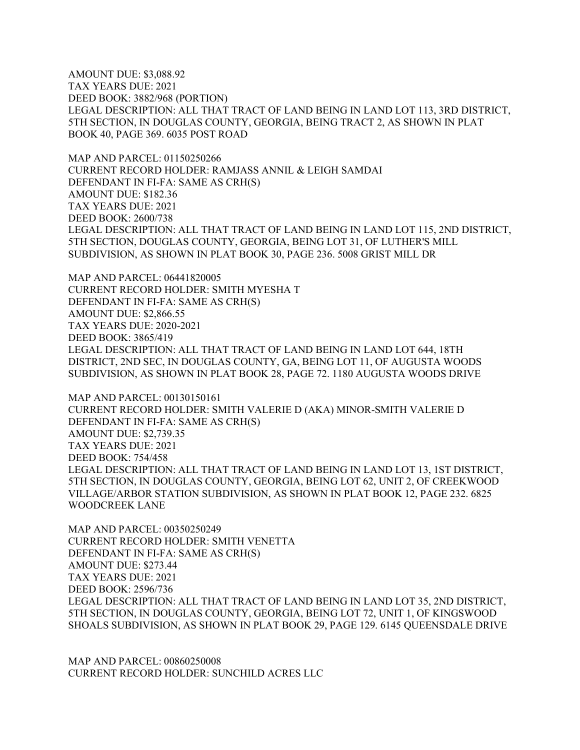AMOUNT DUE: \$3,088.92 TAX YEARS DUE: 2021 DEED BOOK: 3882/968 (PORTION) LEGAL DESCRIPTION: ALL THAT TRACT OF LAND BEING IN LAND LOT 113, 3RD DISTRICT, 5TH SECTION, IN DOUGLAS COUNTY, GEORGIA, BEING TRACT 2, AS SHOWN IN PLAT BOOK 40, PAGE 369. 6035 POST ROAD

MAP AND PARCEL: 01150250266 CURRENT RECORD HOLDER: RAMJASS ANNIL & LEIGH SAMDAI DEFENDANT IN FI-FA: SAME AS CRH(S) AMOUNT DUE: \$182.36 TAX YEARS DUE: 2021 DEED BOOK: 2600/738 LEGAL DESCRIPTION: ALL THAT TRACT OF LAND BEING IN LAND LOT 115, 2ND DISTRICT, 5TH SECTION, DOUGLAS COUNTY, GEORGIA, BEING LOT 31, OF LUTHER'S MILL SUBDIVISION, AS SHOWN IN PLAT BOOK 30, PAGE 236. 5008 GRIST MILL DR

MAP AND PARCEL: 06441820005 CURRENT RECORD HOLDER: SMITH MYESHA T DEFENDANT IN FI-FA: SAME AS CRH(S) AMOUNT DUE: \$2,866.55 TAX YEARS DUE: 2020-2021 DEED BOOK: 3865/419 LEGAL DESCRIPTION: ALL THAT TRACT OF LAND BEING IN LAND LOT 644, 18TH DISTRICT, 2ND SEC, IN DOUGLAS COUNTY, GA, BEING LOT 11, OF AUGUSTA WOODS SUBDIVISION, AS SHOWN IN PLAT BOOK 28, PAGE 72. 1180 AUGUSTA WOODS DRIVE

MAP AND PARCEL: 00130150161 CURRENT RECORD HOLDER: SMITH VALERIE D (AKA) MINOR-SMITH VALERIE D DEFENDANT IN FI-FA: SAME AS CRH(S) AMOUNT DUE: \$2,739.35 TAX YEARS DUE: 2021 DEED BOOK: 754/458 LEGAL DESCRIPTION: ALL THAT TRACT OF LAND BEING IN LAND LOT 13, 1ST DISTRICT, 5TH SECTION, IN DOUGLAS COUNTY, GEORGIA, BEING LOT 62, UNIT 2, OF CREEKWOOD VILLAGE/ARBOR STATION SUBDIVISION, AS SHOWN IN PLAT BOOK 12, PAGE 232. 6825 WOODCREEK LANE

MAP AND PARCEL: 00350250249 CURRENT RECORD HOLDER: SMITH VENETTA DEFENDANT IN FI-FA: SAME AS CRH(S) AMOUNT DUE: \$273.44 TAX YEARS DUE: 2021 DEED BOOK: 2596/736 LEGAL DESCRIPTION: ALL THAT TRACT OF LAND BEING IN LAND LOT 35, 2ND DISTRICT, 5TH SECTION, IN DOUGLAS COUNTY, GEORGIA, BEING LOT 72, UNIT 1, OF KINGSWOOD SHOALS SUBDIVISION, AS SHOWN IN PLAT BOOK 29, PAGE 129. 6145 QUEENSDALE DRIVE

MAP AND PARCEL: 00860250008 CURRENT RECORD HOLDER: SUNCHILD ACRES LLC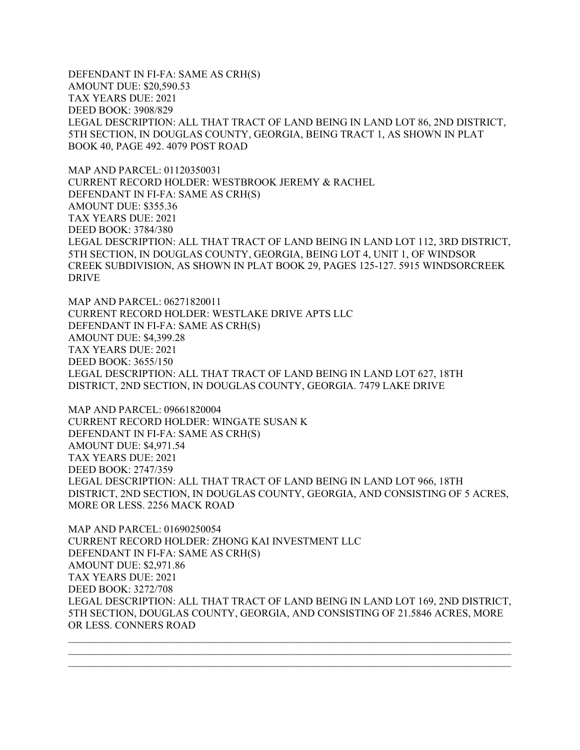DEFENDANT IN FI-FA: SAME AS CRH(S) AMOUNT DUE: \$20,590.53 TAX YEARS DUE: 2021 DEED BOOK: 3908/829 LEGAL DESCRIPTION: ALL THAT TRACT OF LAND BEING IN LAND LOT 86, 2ND DISTRICT, 5TH SECTION, IN DOUGLAS COUNTY, GEORGIA, BEING TRACT 1, AS SHOWN IN PLAT BOOK 40, PAGE 492. 4079 POST ROAD

MAP AND PARCEL: 01120350031 CURRENT RECORD HOLDER: WESTBROOK JEREMY & RACHEL DEFENDANT IN FI-FA: SAME AS CRH(S) AMOUNT DUE: \$355.36 TAX YEARS DUE: 2021 DEED BOOK: 3784/380 LEGAL DESCRIPTION: ALL THAT TRACT OF LAND BEING IN LAND LOT 112, 3RD DISTRICT, 5TH SECTION, IN DOUGLAS COUNTY, GEORGIA, BEING LOT 4, UNIT 1, OF WINDSOR CREEK SUBDIVISION, AS SHOWN IN PLAT BOOK 29, PAGES 125-127. 5915 WINDSORCREEK DRIVE

MAP AND PARCEL: 06271820011 CURRENT RECORD HOLDER: WESTLAKE DRIVE APTS LLC DEFENDANT IN FI-FA: SAME AS CRH(S) AMOUNT DUE: \$4,399.28 TAX YEARS DUE: 2021 DEED BOOK: 3655/150 LEGAL DESCRIPTION: ALL THAT TRACT OF LAND BEING IN LAND LOT 627, 18TH DISTRICT, 2ND SECTION, IN DOUGLAS COUNTY, GEORGIA. 7479 LAKE DRIVE

MAP AND PARCEL: 09661820004 CURRENT RECORD HOLDER: WINGATE SUSAN K DEFENDANT IN FI-FA: SAME AS CRH(S) AMOUNT DUE: \$4,971.54 TAX YEARS DUE: 2021 DEED BOOK: 2747/359 LEGAL DESCRIPTION: ALL THAT TRACT OF LAND BEING IN LAND LOT 966, 18TH DISTRICT, 2ND SECTION, IN DOUGLAS COUNTY, GEORGIA, AND CONSISTING OF 5 ACRES, MORE OR LESS. 2256 MACK ROAD

MAP AND PARCEL: 01690250054 CURRENT RECORD HOLDER: ZHONG KAI INVESTMENT LLC DEFENDANT IN FI-FA: SAME AS CRH(S) AMOUNT DUE: \$2,971.86 TAX YEARS DUE: 2021 DEED BOOK: 3272/708 LEGAL DESCRIPTION: ALL THAT TRACT OF LAND BEING IN LAND LOT 169, 2ND DISTRICT, 5TH SECTION, DOUGLAS COUNTY, GEORGIA, AND CONSISTING OF 21.5846 ACRES, MORE OR LESS. CONNERS ROAD

 $\mathcal{L}_\text{max}$  , and the contribution of the contribution of the contribution of the contribution of the contribution of the contribution of the contribution of the contribution of the contribution of the contribution of t  $\mathcal{L}_\text{max}$  , and the contribution of the contribution of the contribution of the contribution of the contribution of the contribution of the contribution of the contribution of the contribution of the contribution of t  $\mathcal{L}_\text{max} = \frac{1}{2} \sum_{i=1}^{n} \frac{1}{2} \sum_{i=1}^{n} \frac{1}{2} \sum_{i=1}^{n} \frac{1}{2} \sum_{i=1}^{n} \frac{1}{2} \sum_{i=1}^{n} \frac{1}{2} \sum_{i=1}^{n} \frac{1}{2} \sum_{i=1}^{n} \frac{1}{2} \sum_{i=1}^{n} \frac{1}{2} \sum_{i=1}^{n} \frac{1}{2} \sum_{i=1}^{n} \frac{1}{2} \sum_{i=1}^{n} \frac{1}{2} \sum_{i=1}^{n} \frac{1$